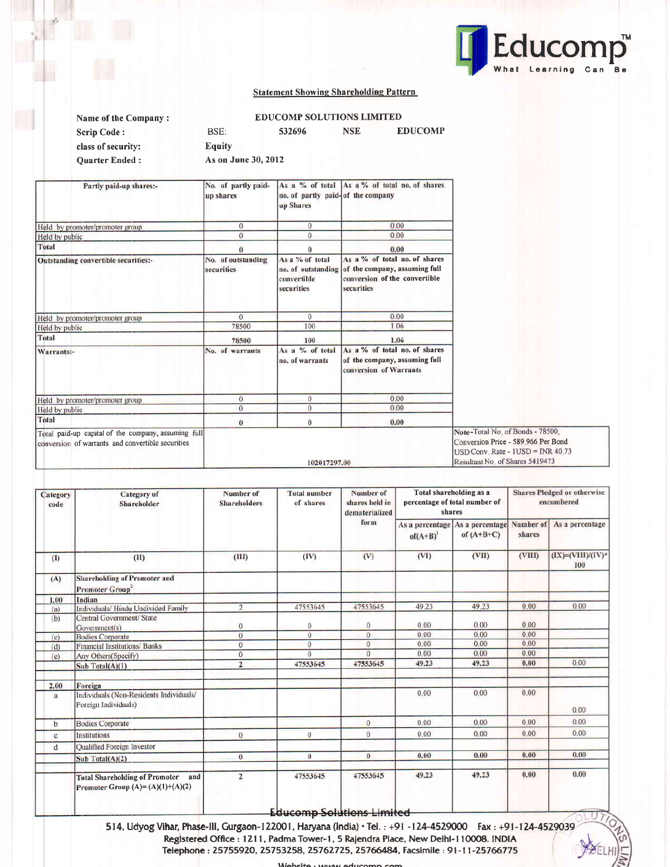

### Statement Showing Shareholding Pattern

| Name of the Company:  |                     | <b>EDUCOMP SOLUTIONS LIMITED</b> |     |                |
|-----------------------|---------------------|----------------------------------|-----|----------------|
| <b>Scrip Code:</b>    | BSE:                | 532696                           | NSE | <b>EDUCOMP</b> |
| class of security:    | <b>Equity</b>       |                                  |     |                |
| <b>Ouarter Ended:</b> | As on June 30, 2012 |                                  |     |                |

| Partly paid-up shares:-                                                                                  | No. of partly paid-<br>up shares | no. of partly paid-of the company<br>up Shares                     | As a % of total As a % of total no. of shares                                                                 |                                                                                                                                                   |
|----------------------------------------------------------------------------------------------------------|----------------------------------|--------------------------------------------------------------------|---------------------------------------------------------------------------------------------------------------|---------------------------------------------------------------------------------------------------------------------------------------------------|
| Held by promoter/promoter group                                                                          | $\overline{0}$                   | $\mathbf{0}$                                                       | 0.00                                                                                                          |                                                                                                                                                   |
| Held by public                                                                                           | $\theta$                         | $\Omega$                                                           | 0.00                                                                                                          |                                                                                                                                                   |
| Total                                                                                                    |                                  |                                                                    | 0.00                                                                                                          |                                                                                                                                                   |
| Outstanding convertible securities:-                                                                     | No. of outstanding<br>securities | As a % of total<br>no. of outstanding<br>convertible<br>securities | As a % of total no. of shares<br>of the company, assuming full<br>conversion of the convertible<br>securities |                                                                                                                                                   |
| Held by promoter/promoter group                                                                          | $\alpha$                         | $\overline{0}$                                                     | 0.00                                                                                                          |                                                                                                                                                   |
| Held by public                                                                                           | 78500                            | 100                                                                | 1.06                                                                                                          |                                                                                                                                                   |
| Total                                                                                                    | 78500                            | 100                                                                | 1.06                                                                                                          |                                                                                                                                                   |
| Warrants:-                                                                                               | No. of warrants                  | As a % of total<br>no. of warrants                                 | As a % of total no. of shares<br>of the company, assuming full<br>conversion of Warrants                      |                                                                                                                                                   |
| Held by promoter/promoter group                                                                          | $\mathbf{0}$                     | $\mathbf{0}$                                                       | 0.00                                                                                                          |                                                                                                                                                   |
| Held by public                                                                                           | $\theta$                         | $\overline{0}$                                                     | 0.00                                                                                                          |                                                                                                                                                   |
| Total                                                                                                    | $\theta$                         | $\theta$                                                           | 0.00                                                                                                          |                                                                                                                                                   |
| Total paid-up capital of the company, assuming full<br>conversion of warrants and convertible securities |                                  | 102017297.00                                                       |                                                                                                               | Note-Total No. of Bonds - 78500,<br>Conversion Price - 589.966 Per Bond<br>$USD Conv. Rate - IUSD = INR 40.73$<br>Resultant No. of Shares 5419473 |

| Category<br>code | <b>Category</b> of<br>Shareholder                                                  | Number of<br><b>Shareholders</b> | <b>Total number</b><br>of shares                | Number of<br>shares held in<br>dematerialized | Total shareholding as a<br>percentage of total number of<br>shares |                                 |                     | Shares Pledged or otherwise<br>encumbered |
|------------------|------------------------------------------------------------------------------------|----------------------------------|-------------------------------------------------|-----------------------------------------------|--------------------------------------------------------------------|---------------------------------|---------------------|-------------------------------------------|
|                  |                                                                                    |                                  |                                                 | form                                          | As a percentage<br>$of(A+B)^{1}$                                   | As a percentage<br>of $(A+B+C)$ | Number of<br>shares | As a percentage                           |
| (1)              | (11)                                                                               | (III)                            | (IV)                                            | (V)                                           | (VI)                                                               | (VII)                           | (VIII)              | $(IX)=(VIII)/(IV)^*$<br>100               |
| (A)              | <b>Shareholding of Promoter and</b><br><b>Promoter Group</b> *                     |                                  |                                                 |                                               |                                                                    |                                 |                     |                                           |
| 1.00             | Indian                                                                             |                                  |                                                 |                                               |                                                                    |                                 |                     |                                           |
| (a)              | Individuals/Hindu Undivided Family                                                 | $\overline{2}$                   | 47553645                                        | 47553645                                      | 49.23                                                              | 49.23                           | 0.00                | 0.00                                      |
| (b)              | Central Government/ State<br>Government(s)                                         | $\Omega$                         | $\theta$                                        | 0                                             | 0.00                                                               | 0.00                            | 0.00.               |                                           |
| (c)              | <b>Bodies Corporate</b>                                                            | $\overline{0}$                   | $\Omega$                                        | $\overline{0}$                                | 0.00                                                               | 0.00                            | 0.00                |                                           |
| (d)              | Financial Institutions/ Banks                                                      | $\overline{0}$                   | $\theta$                                        | $\theta$                                      | 0.00                                                               | 0.00                            | 0.00                |                                           |
| (e)              | Any Others (Specify)                                                               | $\overline{0}$                   | $\Omega$                                        | $\overline{0}$                                | 0.00                                                               | 0.00                            | 0.00                |                                           |
|                  | Sub Total(A)(1)                                                                    | $\overline{2}$                   | 47553645                                        | 47553645                                      | 49.23                                                              | 49.23                           | 0.00                | 0.00                                      |
| 2.00             | Foreign                                                                            |                                  |                                                 |                                               |                                                                    |                                 |                     |                                           |
| a                | Individuals (Non-Residents Individuals/<br>Foreign Individuals)                    |                                  |                                                 |                                               | 0.00                                                               | 0.00                            | 0.00                | 0.00                                      |
| $\mathbf b$      | <b>Bodies Corporate</b>                                                            |                                  |                                                 | $\mathbf{0}$                                  | 0.00                                                               | 0.00                            | 0.00                | 0.00                                      |
| $\mathbf{c}$     | Institutions                                                                       | $\mathbf{0}$                     | $\Omega$                                        | $\overline{0}$                                | 0.00                                                               | 0.00                            | 0.00                | 0.00                                      |
| d                | Qualified Foreign Investor                                                         |                                  |                                                 |                                               |                                                                    |                                 |                     |                                           |
|                  | Sub Total(A)(2)                                                                    | $\bf{0}$                         | $\theta$                                        | $\bf{0}$                                      | 0.00                                                               | 0.00                            | 0.00                | 0.00                                      |
|                  | <b>Total Shareholding of Promoter</b><br>and<br>Promoter Group $(A)=(A)(1)+(A)(2)$ | $\mathbf{2}$                     | 47553645<br>$\Gamma$ ducanan Californe Linethed | 47553645                                      | 49.23                                                              | 49.23                           | 0.00                | 0.00                                      |

514, Udyog Vihar, Phase-III, Gurgaon-122001, Haryana (india)  $\cdot$  Tel. : +91 -124-4529000 Fax : +91-124-4529039 Reglstered Office : 121 l, Padma Tower-1, 5 Rajendra Place, New Delhl-l 1OOOB. INDIA Telephone : 25755920, 25753258, 25762725, 25766484, Facsimile : 91-11-25766775

 $W<sub>other</sub>$  .  $M<sub>max</sub>$  aducanno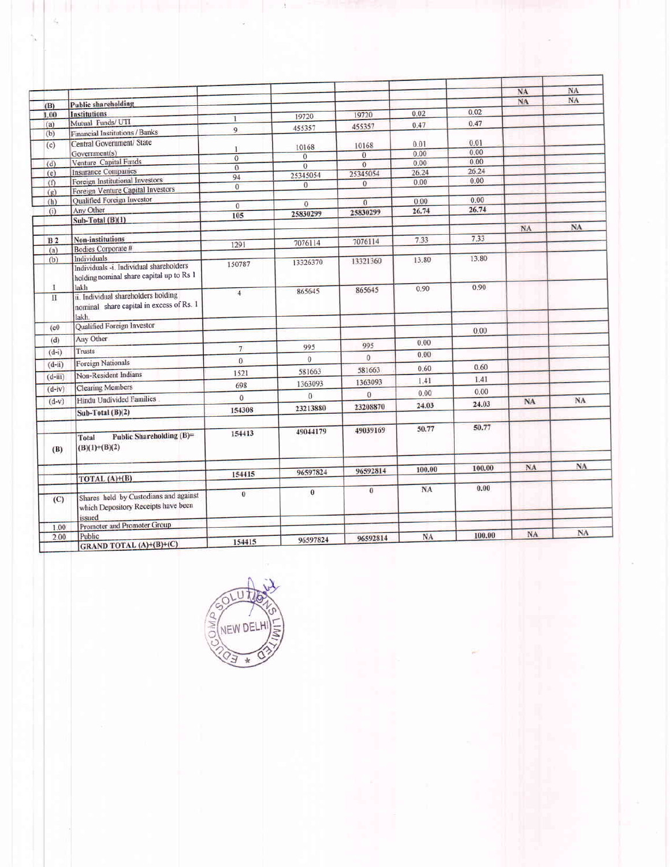|                |                                                                                          |                                  |                |                     |           |        | NA | <b>NA</b> |
|----------------|------------------------------------------------------------------------------------------|----------------------------------|----------------|---------------------|-----------|--------|----|-----------|
| (B)            | <b>Public shareholding</b>                                                               |                                  |                |                     |           |        | NA | NA        |
| 1.00           | <b>Institutions</b>                                                                      |                                  | 19720          | 19720               | 0.02      | 0.02   |    |           |
| (a)            | Mutual Funds/ UTI                                                                        | $\mathbf{1}$                     |                | 455357              | 0.47      | 0.47   |    |           |
| (b)            | Financial Institutions / Banks                                                           | 9                                | 455357         |                     |           |        |    |           |
| (c)            | Central Government/ State                                                                |                                  | 10168          | 10168               | 0.01      | 0.01   |    |           |
|                | Government(s)                                                                            | $\mathbf{I}$                     | $\overline{0}$ | $\ddot{\mathbf{0}}$ | 0.00      | 0.00   |    |           |
| (d)            | Venture Capital Funds                                                                    | $\overline{0}$<br>$\overline{0}$ | $\overline{0}$ | $\mathbf{0}$        | 0.00      | 0.00   |    |           |
| (e)            | <b>Insurance Companies</b>                                                               | 94                               | 25345054       | 25345054            | 26.24     | 26.24  |    |           |
| (f)            | Foreign Institutional Investors                                                          | $\mathbf{0}$                     | $\theta$       | $\mathbf{0}$        | 0.00      | 0.00   |    |           |
| (g)            | Foreign Venture Capital Investors                                                        |                                  |                |                     |           |        |    |           |
| (h)            | Qualified Foreign Investor                                                               | $\overline{0}$                   | $\overline{0}$ | $\overline{0}$      | 0.00      | 0.00   |    |           |
| (i)            | Any Other                                                                                | 105                              | 25830299       | 25830299            | 26.74     | 26.74  |    |           |
|                | Sub-Total (B)(1)                                                                         |                                  |                |                     |           |        |    |           |
|                |                                                                                          |                                  |                |                     |           |        | NA | NA        |
| B <sub>2</sub> | <b>Non-institutions</b>                                                                  | 1291                             | 7076114        | 7076114             | 7.33      | 7.33   |    |           |
| (a)            | Bodies Corporate #                                                                       |                                  |                |                     |           |        |    |           |
| (b)            | <b>Individuals</b>                                                                       | 150787                           | 13326370       | 13321360            | 13.80     | 13.80  |    |           |
|                | Individuals -i. Individual shareholders<br>holding nominal share capital up to Rs 1      |                                  |                |                     |           |        |    |           |
| 1              | lakh                                                                                     | $\overline{4}$                   | 865645         | 865645              | 0.90      | 0.90   |    |           |
| $\rm H$        | ii. Individual shareholders holding<br>nominal share capital in excess of Rs. 1<br>lakh. |                                  |                |                     |           |        |    |           |
| (c0)           | Qualified Foreign Investor                                                               |                                  |                |                     |           | 0.00   |    |           |
| (d)            | Any Other                                                                                |                                  |                |                     |           |        |    |           |
|                | Trusts                                                                                   | 7 <sup>1</sup>                   | 995            | 995                 | 0.00      |        |    |           |
| $(d-i)$        |                                                                                          | $\overline{0}$                   | $\ddot{0}$     | $\overline{0}$      | 0.00      |        |    |           |
| $(d-ii)$       | <b>Foreign Nationals</b>                                                                 |                                  | 581663         | 581663              | 0.60      | 0.60   |    |           |
| $(d-iii)$      | Non-Resident Indians                                                                     | 1521                             |                | 1363093             | 1.41      | 1.41   |    |           |
| $(d-iv)$       | <b>Clearing Members</b>                                                                  | 698                              | 1363093        |                     | 0.00      | 0.00   |    |           |
| $(d-v)$        | Hindu Undivided Families                                                                 | $\overline{0}$                   | $\theta$       | $\overline{0}$      |           |        | NA | <b>NA</b> |
|                | Sub-Total (B)(2)                                                                         | 154308                           | 23213880       | 23208870            | 24.03     | 24.03  |    |           |
|                |                                                                                          |                                  |                |                     |           |        |    |           |
|                |                                                                                          | 154413                           | 49044179       | 49039169            | 50.77     | 50.77  |    |           |
| (B)            | Public Shareholding (B)=<br>Total<br>$(B)(1)+(B)(2)$                                     |                                  |                |                     |           |        |    |           |
|                |                                                                                          |                                  |                |                     |           |        | NA | NA        |
|                |                                                                                          | 154415                           | 96597824       | 96592814            | 100.00    | 100.00 |    |           |
|                | TOTAL (A)+(B)                                                                            |                                  |                |                     |           |        |    |           |
| (C)            | Shares held by Custodians and against<br>which Depository Receipts have been             | $\bf{0}$                         | $\theta$       | $\overline{0}$      | NA        | 0.00   |    |           |
|                | issued<br>Promoter and Premoter Group                                                    |                                  |                |                     |           |        |    |           |
| 1.00           | Public                                                                                   |                                  |                |                     |           | 100.00 | NA | NA        |
| 2.00           | GRAND TOTAL (A)+(B)+(C)                                                                  | 154415                           | 96597824       | 96592814            | <b>NA</b> |        |    |           |

 $\Lambda$ 

 $\sim$ 

 $\frac{1}{4}$ 

þ

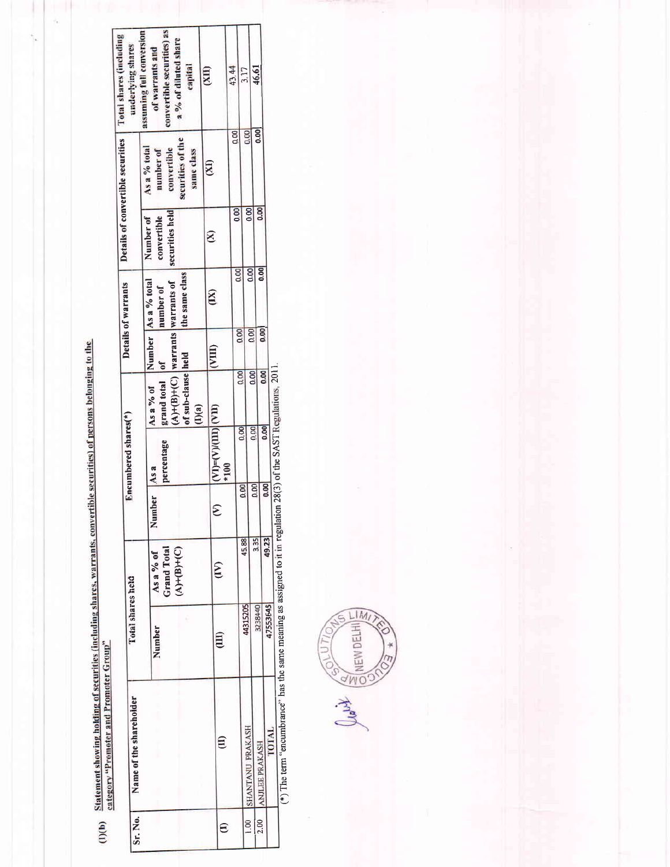(I)(b) Statement showing holding of securities (including shares, warrants, convertible securities) of persons belonging to the<br>category "Promoter and Promoter Group"

|               |                         |                   |                                 |            | Encumbered shares(*)              |                                                                |                | Details of warrants              |                                | Details of convertible securities | <b>Total shares (including</b>                                        |
|---------------|-------------------------|-------------------|---------------------------------|------------|-----------------------------------|----------------------------------------------------------------|----------------|----------------------------------|--------------------------------|-----------------------------------|-----------------------------------------------------------------------|
| Sr. No.       | Name of the shareholder | Total shares held |                                 |            |                                   |                                                                |                |                                  |                                |                                   | assuming full conversion<br>underlying shares                         |
|               |                         |                   |                                 |            |                                   |                                                                |                |                                  | Number of                      | As a % total                      |                                                                       |
|               |                         | Number            | <b>Grand Total</b><br>As a % of | Number     | percentage<br>As a                | $(A)+(B)+(C)$ warrants warrants of<br>As a % of<br>grand total | $\mathbf{d}$   | Number As a % total<br>number of | securities held<br>convertible | convertible<br>number of          | convertible securities) as<br>a % of diluted share<br>of warrants and |
|               |                         |                   | $(A)+(B)+(C)$                   |            |                                   | of sub-clause held<br>(1)(a)                                   |                | the same class                   |                                | securities of the<br>same class   | capital                                                               |
|               |                         |                   |                                 |            |                                   |                                                                |                |                                  |                                | $\mathbb{Z}$                      | (III)                                                                 |
| $\widehat{e}$ | €                       | $\Xi$             | $\widetilde{E}$                 | $\epsilon$ | $(VI) = (V)(III)[VII)$<br>$1*100$ |                                                                | (III)          | (XI)                             | $\otimes$                      |                                   |                                                                       |
|               |                         |                   |                                 |            |                                   |                                                                |                |                                  |                                | $\frac{8}{10}$                    | 43.44                                                                 |
|               |                         |                   | 45.88                           | 0.00       | 0.00                              | $\overline{8}$                                                 | 0.00           | 0.00                             | $\overline{6}$                 |                                   | 3.17                                                                  |
| 1.00          | SHANTANU PRAKASH        | 44315205          |                                 |            |                                   | 80                                                             | 80.00          | 0.00                             | 0.00                           | 0.00                              |                                                                       |
| 2.00          | ANJLEE PRAKASH          | 3238440           | 3.35                            | 0.00       | 0.00                              |                                                                |                | 0.00                             | 0.00                           | 0.00                              | 46,61                                                                 |
|               | <b>LOTAL</b>            | 47553645          | 49.23                           | 0.00       | 0.00                              | 0.00                                                           | $\overline{0}$ |                                  |                                |                                   |                                                                       |

(\*) The term "encumbrance" has the same meaning as assigned to it in regulation 28(3) of the SAST Regulations, 2011.

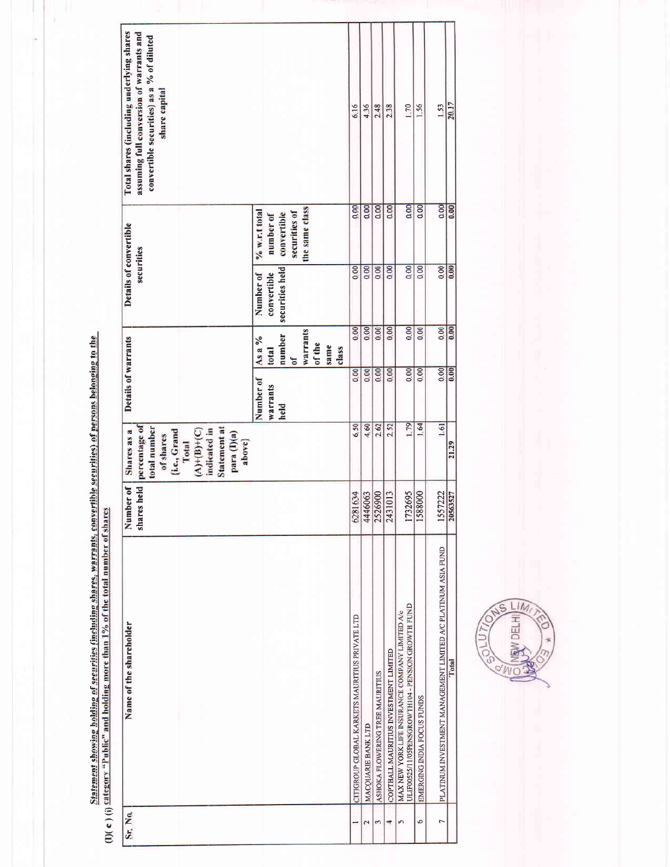| Total shares (including underlying shares<br>assuming full conversion of warrants and<br>convertible securities) as a % of diluted<br>share capital                     |                  |             |                              |                           |      |       | 6.16                                           | 4.36               | 2.48                            | 2.38                                  | 170                                                                                                   | 1.56                       | 1.53                                                          | 20.17    |
|-------------------------------------------------------------------------------------------------------------------------------------------------------------------------|------------------|-------------|------------------------------|---------------------------|------|-------|------------------------------------------------|--------------------|---------------------------------|---------------------------------------|-------------------------------------------------------------------------------------------------------|----------------------------|---------------------------------------------------------------|----------|
|                                                                                                                                                                         | $% w.r.t.$ total | number of   | securities of<br>convertible | the same class            |      |       | 0.00                                           | 0.00               | 0.00                            | 0.00                                  | 0.00                                                                                                  | 0.00                       | 0.00                                                          | 0.00     |
| Details of convertible<br>securities                                                                                                                                    | Number of        | convertible | securities held              |                           |      |       | 0.00                                           | 0.00               | 0.00                            | 0.00                                  | 0.00                                                                                                  | 0.00                       | 0.00                                                          | 0.00     |
|                                                                                                                                                                         | As a %           | total       | number<br>$\sigma$           | <b>Warrants</b><br>of the | same | class | 0.00                                           | 0.00               | 0.00                            | 0.00                                  | 0.00                                                                                                  | 0.00                       | 0.00                                                          | 0.00     |
| Details of warrants                                                                                                                                                     | Number of        | warrants    | held                         |                           |      |       | 0.00                                           | 0.00               | 0.00                            | 0.00                                  | $\overline{00}$                                                                                       | $\overline{0.00}$          | 0.00                                                          | 0.00     |
| percentage of<br>total number<br><b>Statement at</b><br>indicated in<br>$(A) + (B) + (C)$<br>Shares as a<br>(i.e., Grand<br>para (I)(a)<br>of shares<br>above}<br>Total |                  |             |                              |                           |      |       | 6.50                                           | 4.60               | 2.62                            | 2.52                                  | 1.79                                                                                                  | 1.64                       | 1.61                                                          | 21.29    |
| shares held<br>ber of<br>Numt                                                                                                                                           |                  |             |                              |                           |      |       | 6281634                                        | 4446063            | 2526900                         | 2431013                               | 1732695                                                                                               | 1588000                    | 1557222                                                       | 20563527 |
| Name of the shareholder                                                                                                                                                 |                  |             |                              |                           |      |       | CITIGROUP GLOBAL KARKETS MAURITIUS PRIVATE LTD | MACQUARIE BANK LTD | ASHOKA FLOWERING TREE MAURITIUS | COPTHALL MAURITIUS INVESTMENT LIMITED | ULIF00525/11/05PENSGROWTH104 - PENSION GROWTH FUND<br>MAX NEW YORK LIFE INSURANCE COMPANY LIMITED A/c | EMERGING INDIA FOCUS FUNDS | PLATINUM INVESTMENT MANAGEMENT LIMITED A/C PLATINUM ASIA FUND | Total    |
| Sr. No.                                                                                                                                                                 |                  |             |                              |                           |      |       |                                                | 2                  | S                               | 4                                     | in                                                                                                    | Ю                          | r                                                             |          |

Statement showing bolding of securities (including shares, warrants, convertible securities) of persons belonging to the<br>(I)( c ) (i) Category "Public" and holding more than 1% of the total number of shares

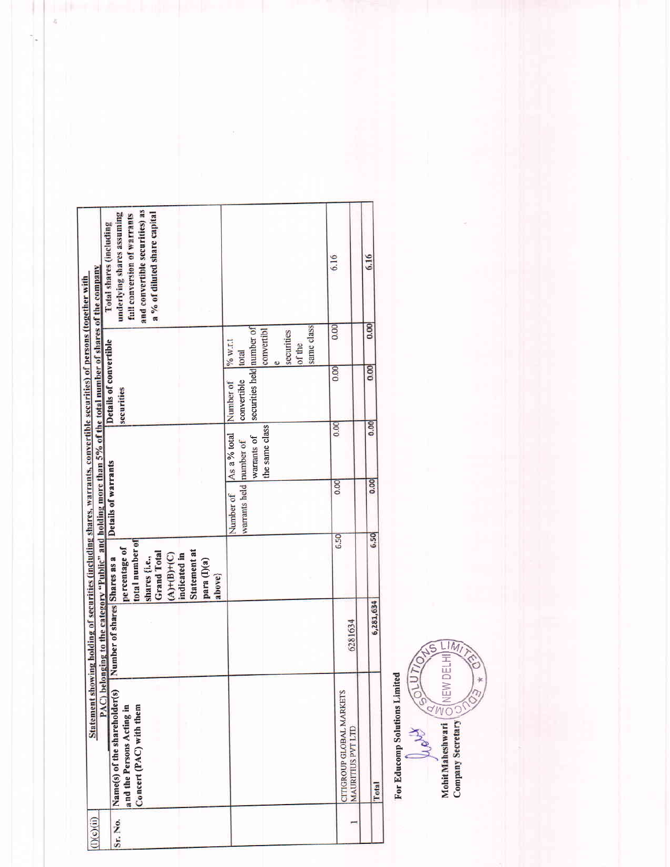| Total shares (including                                                                                                                                                                                                                 | and convertible securities) as<br>a % of diluted share capital<br>underlying shares assuming<br>full conversion of warrants                           |                                                                               | 6.16                                                 | 6.16      |
|-----------------------------------------------------------------------------------------------------------------------------------------------------------------------------------------------------------------------------------------|-------------------------------------------------------------------------------------------------------------------------------------------------------|-------------------------------------------------------------------------------|------------------------------------------------------|-----------|
|                                                                                                                                                                                                                                         |                                                                                                                                                       | same class<br>convertibl<br>securities<br>$11M\frac{6}{6}$<br>of the<br>total | 0.00                                                 | 0.00      |
|                                                                                                                                                                                                                                         | Details of convertible<br>securities                                                                                                                  | securities held number of<br>convertible<br>Number of                         | 0.00                                                 | 0.00      |
|                                                                                                                                                                                                                                         |                                                                                                                                                       | the same class<br>As a % total<br>warrants of                                 | 0.00                                                 | 0.00      |
|                                                                                                                                                                                                                                         | Details of warrants                                                                                                                                   | warrants held number of<br>Number of                                          | 0.00                                                 | 0.00      |
|                                                                                                                                                                                                                                         | total number of<br>percentage of<br>Statement at<br><b>Grand Total</b><br>$(A) + (B) + (C)$<br>indicated in<br>shares (i.e.,<br>para (I)(a)<br>above} |                                                                               | 6.50                                                 | 6.50      |
| PAC) belonging to the category "Public" and holding more than 5% of the total number of shares of the company<br>Statement showing holding of securities (including shares, warrants, convertible securities) of persons (together with | Number of shares Shares as a                                                                                                                          |                                                                               | 6281634                                              | 6,281,634 |
|                                                                                                                                                                                                                                         | Name(s) of the shareholder(s)<br>and the Persons Acting in<br>Concert (PAC) with them                                                                 |                                                                               | CITIGROUP GLOBAL MARKETS<br><b>MAURITIUS PVT LTD</b> | Total     |
| (1)(c)(ii)                                                                                                                                                                                                                              | Sr. No.                                                                                                                                               |                                                                               |                                                      |           |

 $\frac{1}{4}$ 

ŀ

For Educomp Solutions Limited

Columbia Maria SCIUTION CS- $\frac{1}{2}$